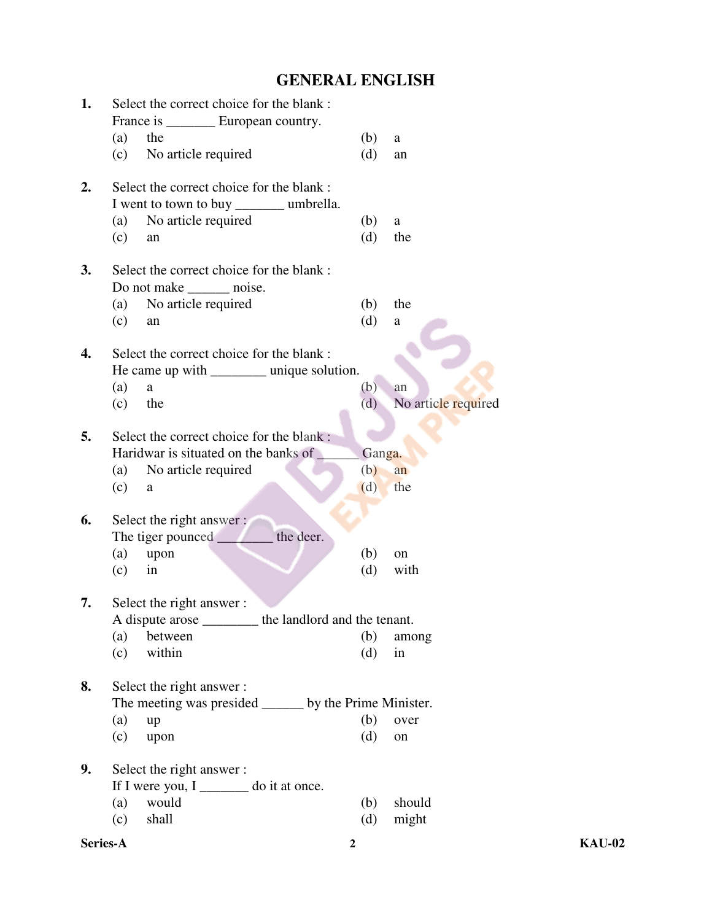## **GENERAL ENGLISH**

| 1. |                                                                                     | Select the correct choice for the blank:                |                  |                     |               |  |  |
|----|-------------------------------------------------------------------------------------|---------------------------------------------------------|------------------|---------------------|---------------|--|--|
|    |                                                                                     | France is ____________ European country.                |                  |                     |               |  |  |
|    | (a)                                                                                 | the                                                     | (b)              | a                   |               |  |  |
|    | (c)                                                                                 | No article required                                     | (d)              | an                  |               |  |  |
| 2. |                                                                                     | Select the correct choice for the blank:                |                  |                     |               |  |  |
|    |                                                                                     | I went to town to buy _________ umbrella.               |                  |                     |               |  |  |
|    | (a)                                                                                 | No article required                                     | (b)              | a                   |               |  |  |
|    | (c)                                                                                 | an                                                      | (d)              | the                 |               |  |  |
| 3. | Select the correct choice for the blank:                                            |                                                         |                  |                     |               |  |  |
|    |                                                                                     | Do not make _______ noise.                              |                  |                     |               |  |  |
|    | (a)                                                                                 | No article required                                     | (b)              | the                 |               |  |  |
|    | (c)                                                                                 | an                                                      | (d)              | $\mathbf{a}$        |               |  |  |
| 4. |                                                                                     | Select the correct choice for the blank:                |                  |                     |               |  |  |
|    |                                                                                     | He came up with _________ unique solution.              |                  |                     |               |  |  |
|    | (a)                                                                                 | a                                                       | (b)              | an                  |               |  |  |
|    | (c)                                                                                 | the                                                     | (d)              | No article required |               |  |  |
| 5. |                                                                                     | Select the correct choice for the blank:                |                  |                     |               |  |  |
|    |                                                                                     | Haridwar is situated on the banks of                    | Ganga.           |                     |               |  |  |
|    | (a)                                                                                 | No article required                                     | (b)              | an                  |               |  |  |
|    | (c)                                                                                 | a                                                       | (d)              | the                 |               |  |  |
| 6. |                                                                                     | Select the right answer:                                |                  |                     |               |  |  |
|    |                                                                                     | the deer.<br>The tiger pounced                          |                  |                     |               |  |  |
|    | (a)                                                                                 | upon                                                    | (b)              | on                  |               |  |  |
|    | (c)                                                                                 | in                                                      | (d)              | with                |               |  |  |
| 7. |                                                                                     |                                                         |                  |                     |               |  |  |
|    | Select the right answer:<br>A dispute arose __________ the landlord and the tenant. |                                                         |                  |                     |               |  |  |
|    | (a)                                                                                 | between                                                 | (b)              |                     |               |  |  |
|    | (c)                                                                                 | within                                                  | (d)              | among<br>in         |               |  |  |
|    |                                                                                     |                                                         |                  |                     |               |  |  |
| 8. |                                                                                     | Select the right answer:                                |                  |                     |               |  |  |
|    |                                                                                     | The meeting was presided _______ by the Prime Minister. |                  |                     |               |  |  |
|    | (a)                                                                                 | up                                                      | (b)              | over                |               |  |  |
|    | (c)                                                                                 | upon                                                    | (d)              | on                  |               |  |  |
| 9. |                                                                                     | Select the right answer:                                |                  |                     |               |  |  |
|    |                                                                                     |                                                         |                  |                     |               |  |  |
|    | (a)                                                                                 | would                                                   | (b)              | should              |               |  |  |
|    | (c)                                                                                 | shall                                                   | (d)              | might               |               |  |  |
|    | Series-A                                                                            |                                                         | $\boldsymbol{2}$ |                     | <b>KAU-02</b> |  |  |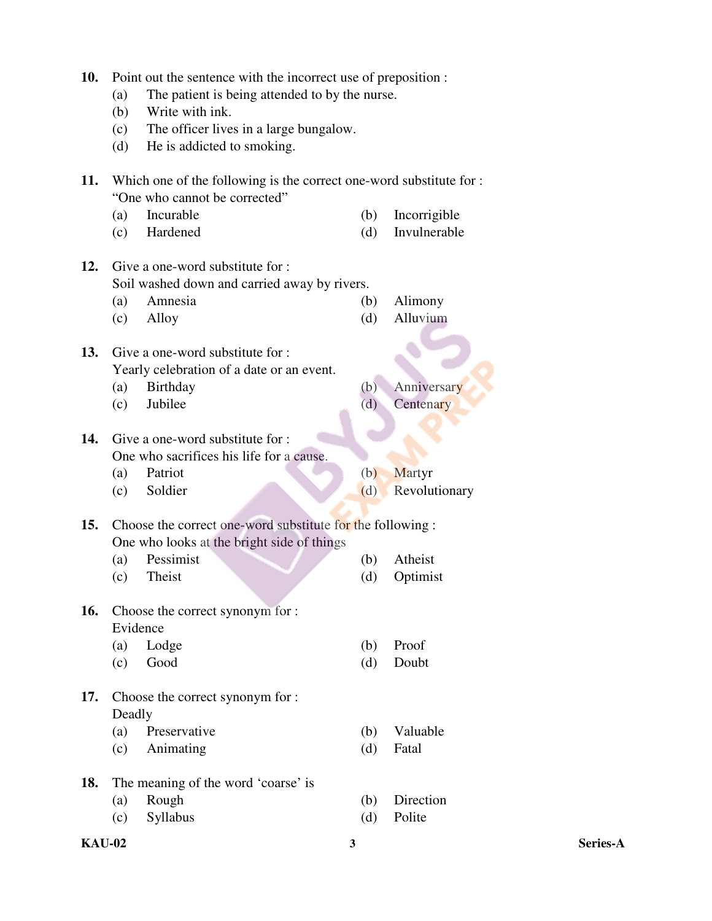| 10.                                     | Point out the sentence with the incorrect use of preposition : |                                                                     |     |               |  |  |
|-----------------------------------------|----------------------------------------------------------------|---------------------------------------------------------------------|-----|---------------|--|--|
|                                         | The patient is being attended to by the nurse.<br>(a)          |                                                                     |     |               |  |  |
|                                         | Write with ink.<br>(b)                                         |                                                                     |     |               |  |  |
|                                         | The officer lives in a large bungalow.<br>(c)                  |                                                                     |     |               |  |  |
|                                         | (d)                                                            | He is addicted to smoking.                                          |     |               |  |  |
| 11.                                     |                                                                | Which one of the following is the correct one-word substitute for : |     |               |  |  |
|                                         | "One who cannot be corrected"                                  |                                                                     |     |               |  |  |
|                                         | (a)                                                            | Incurable                                                           | (b) | Incorrigible  |  |  |
|                                         |                                                                | (c) Hardened                                                        | (d) | Invulnerable  |  |  |
| 12.                                     |                                                                | Give a one-word substitute for :                                    |     |               |  |  |
|                                         |                                                                | Soil washed down and carried away by rivers.                        |     |               |  |  |
|                                         | (a)                                                            | Amnesia                                                             | (b) | Alimony       |  |  |
|                                         | (c)                                                            | Alloy                                                               | (d) | Alluvium      |  |  |
| 13.                                     |                                                                | Give a one-word substitute for :                                    |     |               |  |  |
|                                         |                                                                | Yearly celebration of a date or an event.                           |     |               |  |  |
|                                         | (a)                                                            | <b>Birthday</b>                                                     | (b) | Anniversary   |  |  |
|                                         | (c)                                                            | Jubilee                                                             | (d) | Centenary     |  |  |
| 14.                                     |                                                                | Give a one-word substitute for:                                     |     |               |  |  |
|                                         |                                                                | One who sacrifices his life for a cause.                            |     |               |  |  |
|                                         | (a)                                                            | Patriot                                                             | (b) | Martyr        |  |  |
|                                         | (c)                                                            | Soldier                                                             | (d) | Revolutionary |  |  |
| 15.                                     |                                                                | Choose the correct one-word substitute for the following :          |     |               |  |  |
|                                         |                                                                | One who looks at the bright side of things                          |     |               |  |  |
|                                         | (a)                                                            | Pessimist                                                           | (b) | Atheist       |  |  |
|                                         | (c)                                                            | Theist                                                              | (d) | Optimist      |  |  |
| 16.                                     |                                                                | Choose the correct synonym for :                                    |     |               |  |  |
|                                         | Evidence                                                       |                                                                     |     |               |  |  |
|                                         | (a)                                                            | Lodge                                                               | (b) | Proof         |  |  |
|                                         | (c)                                                            | Good                                                                | (d) | Doubt         |  |  |
| 17.<br>Choose the correct synonym for : |                                                                |                                                                     |     |               |  |  |
|                                         | Deadly                                                         |                                                                     |     |               |  |  |
|                                         | (a)                                                            | Preservative                                                        | (b) | Valuable      |  |  |
|                                         | (c)                                                            | Animating                                                           | (d) | Fatal         |  |  |
| 18.                                     |                                                                | The meaning of the word 'coarse' is                                 |     |               |  |  |
|                                         | (a)                                                            | Rough                                                               | (b) | Direction     |  |  |
|                                         | (c)                                                            | Syllabus                                                            | (d) | Polite        |  |  |

**KAU-02 3 Series-A**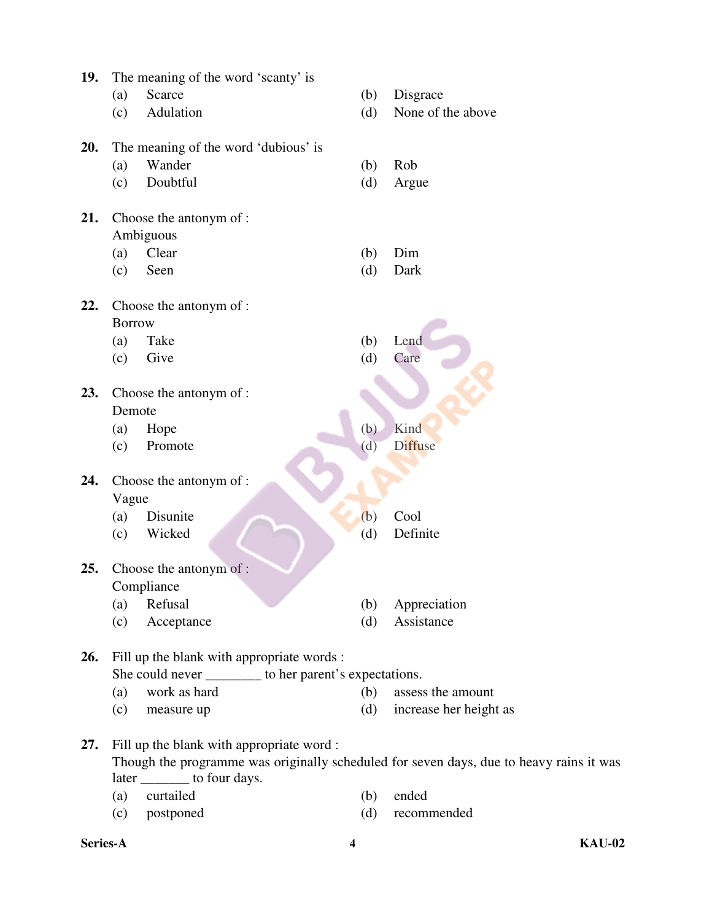| 19. |                                                                                                                           | The meaning of the word 'scanty' is                      |     |                        |  |  |
|-----|---------------------------------------------------------------------------------------------------------------------------|----------------------------------------------------------|-----|------------------------|--|--|
|     | (a)                                                                                                                       | Scarce                                                   | (b) | Disgrace               |  |  |
|     | (c)                                                                                                                       | Adulation                                                | (d) | None of the above      |  |  |
| 20. |                                                                                                                           | The meaning of the word 'dubious' is                     |     |                        |  |  |
|     | (a)                                                                                                                       | Wander                                                   | (b) | Rob                    |  |  |
|     | (c)                                                                                                                       | Doubtful                                                 | (d) | Argue                  |  |  |
| 21. |                                                                                                                           | Choose the antonym of :                                  |     |                        |  |  |
|     |                                                                                                                           | Ambiguous                                                |     |                        |  |  |
|     | (a)                                                                                                                       | Clear                                                    | (b) | Dim                    |  |  |
|     | (c)                                                                                                                       | Seen                                                     | (d) | Dark                   |  |  |
| 22. |                                                                                                                           | Choose the antonym of :                                  |     |                        |  |  |
|     | <b>Borrow</b>                                                                                                             |                                                          |     |                        |  |  |
|     | (a)                                                                                                                       | Take                                                     | (b) | Lend                   |  |  |
|     | (c)                                                                                                                       | Give                                                     | (d) | Care                   |  |  |
| 23. |                                                                                                                           | Choose the antonym of :                                  |     |                        |  |  |
|     | Demote                                                                                                                    |                                                          |     |                        |  |  |
|     | (a)                                                                                                                       | Hope                                                     | (b) | Kind                   |  |  |
|     | (c)                                                                                                                       | Promote                                                  | (d) | <b>Diffuse</b>         |  |  |
| 24. |                                                                                                                           | Choose the antonym of :                                  |     |                        |  |  |
|     | Vague                                                                                                                     |                                                          |     |                        |  |  |
|     | (a)                                                                                                                       | Disunite                                                 | (b) | Cool                   |  |  |
|     | (c)                                                                                                                       | Wicked                                                   | (d) | Definite               |  |  |
| 25. |                                                                                                                           | Choose the antonym of :                                  |     |                        |  |  |
|     |                                                                                                                           | Compliance                                               |     |                        |  |  |
|     | (a)                                                                                                                       | Refusal                                                  | (b) | Appreciation           |  |  |
|     | (c)                                                                                                                       | Acceptance                                               | (d) | Assistance             |  |  |
| 26. |                                                                                                                           | Fill up the blank with appropriate words :               |     |                        |  |  |
|     |                                                                                                                           | She could never __________ to her parent's expectations. |     |                        |  |  |
|     | (a)                                                                                                                       | work as hard                                             | (b) | assess the amount      |  |  |
|     | (c)                                                                                                                       | measure up                                               | (d) | increase her height as |  |  |
| 27. |                                                                                                                           | Fill up the blank with appropriate word :                |     |                        |  |  |
|     | Though the programme was originally scheduled for seven days, due to heavy rains it was<br>later __________ to four days. |                                                          |     |                        |  |  |
|     | (a)                                                                                                                       | curtailed                                                | (b) | ended                  |  |  |

(c) postponed (d) recommended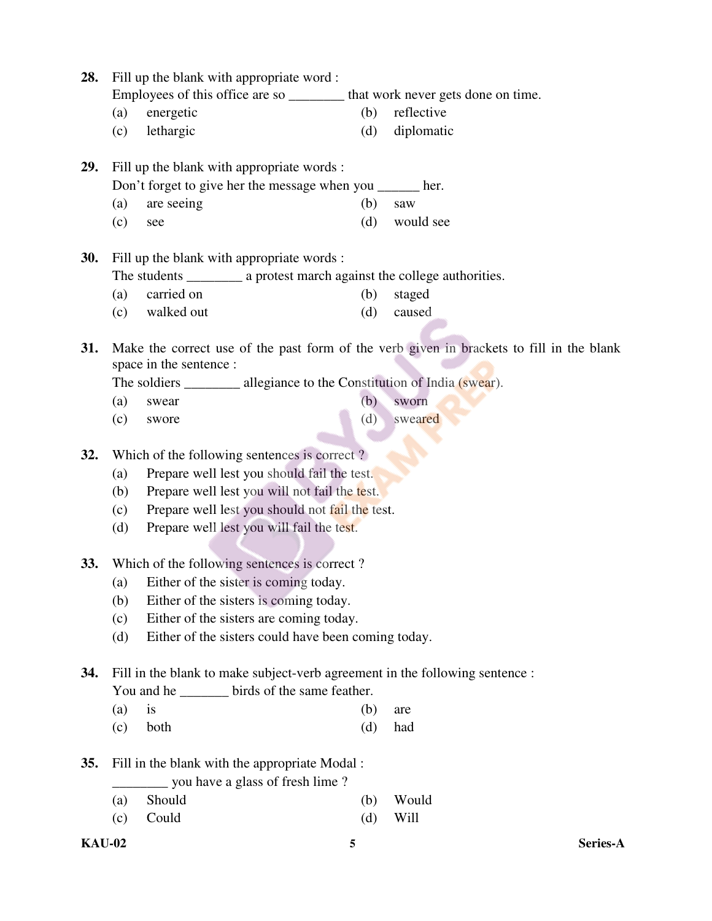| 28.           | Fill up the blank with appropriate word :                  |                                                                               |   |     |                                                                                          |  |
|---------------|------------------------------------------------------------|-------------------------------------------------------------------------------|---|-----|------------------------------------------------------------------------------------------|--|
|               |                                                            | Employees of this office are so _________ that work never gets done on time.  |   |     |                                                                                          |  |
|               | (a)                                                        | energetic                                                                     |   | (b) | reflective                                                                               |  |
|               | (c)                                                        | lethargic                                                                     |   | (d) | diplomatic                                                                               |  |
| 29.           |                                                            | Fill up the blank with appropriate words :                                    |   |     |                                                                                          |  |
|               |                                                            | Don't forget to give her the message when you ______ her.                     |   |     |                                                                                          |  |
|               | (a)                                                        | are seeing                                                                    |   | (b) | saw                                                                                      |  |
|               | (c)                                                        | see                                                                           |   | (d) | would see                                                                                |  |
|               |                                                            |                                                                               |   |     |                                                                                          |  |
| <b>30.</b>    |                                                            | Fill up the blank with appropriate words :                                    |   |     |                                                                                          |  |
|               |                                                            | The students _______________ a protest march against the college authorities. |   |     |                                                                                          |  |
|               | (a)                                                        | carried on                                                                    |   | (b) | staged                                                                                   |  |
|               | (c)                                                        | walked out                                                                    |   | (d) | caused                                                                                   |  |
| 31.           |                                                            |                                                                               |   |     | Make the correct use of the past form of the verb given in brackets to fill in the blank |  |
|               |                                                            | space in the sentence :                                                       |   |     |                                                                                          |  |
|               |                                                            | The soldiers __________ allegiance to the Constitution of India (swear).      |   |     |                                                                                          |  |
|               | (a)                                                        | swear                                                                         |   | (b) | sworn                                                                                    |  |
|               | (c)                                                        | swore                                                                         |   | (d) | sweared                                                                                  |  |
| 32.           |                                                            | Which of the following sentences is correct?                                  |   |     |                                                                                          |  |
|               | (a)                                                        | Prepare well lest you should fail the test.                                   |   |     |                                                                                          |  |
|               | (b)                                                        | Prepare well lest you will not fail the test.                                 |   |     |                                                                                          |  |
|               | Prepare well lest you should not fail the test.<br>(c)     |                                                                               |   |     |                                                                                          |  |
|               | Prepare well lest you will fail the test.<br>(d)           |                                                                               |   |     |                                                                                          |  |
|               |                                                            |                                                                               |   |     |                                                                                          |  |
| <b>33.</b>    | Which of the following sentences is correct?               |                                                                               |   |     |                                                                                          |  |
|               | Either of the sister is coming today.<br>(a)               |                                                                               |   |     |                                                                                          |  |
|               | Either of the sisters is coming today.<br>(b)              |                                                                               |   |     |                                                                                          |  |
|               | Either of the sisters are coming today.<br>(c)             |                                                                               |   |     |                                                                                          |  |
|               | (d)<br>Either of the sisters could have been coming today. |                                                                               |   |     |                                                                                          |  |
| 34.           |                                                            | Fill in the blank to make subject-verb agreement in the following sentence :  |   |     |                                                                                          |  |
|               |                                                            | You and he ________ birds of the same feather.                                |   |     |                                                                                          |  |
|               | (a)                                                        | is                                                                            |   | (b) | are                                                                                      |  |
|               | (c)                                                        | both                                                                          |   | (d) | had                                                                                      |  |
| 35.           |                                                            | Fill in the blank with the appropriate Modal:                                 |   |     |                                                                                          |  |
|               |                                                            | you have a glass of fresh lime?                                               |   |     |                                                                                          |  |
|               | (a)                                                        | Should                                                                        |   | (b) | Would                                                                                    |  |
|               | (c)                                                        | Could                                                                         |   | (d) | Will                                                                                     |  |
| <b>KAU-02</b> |                                                            |                                                                               | 5 |     | Series-A                                                                                 |  |
|               |                                                            |                                                                               |   |     |                                                                                          |  |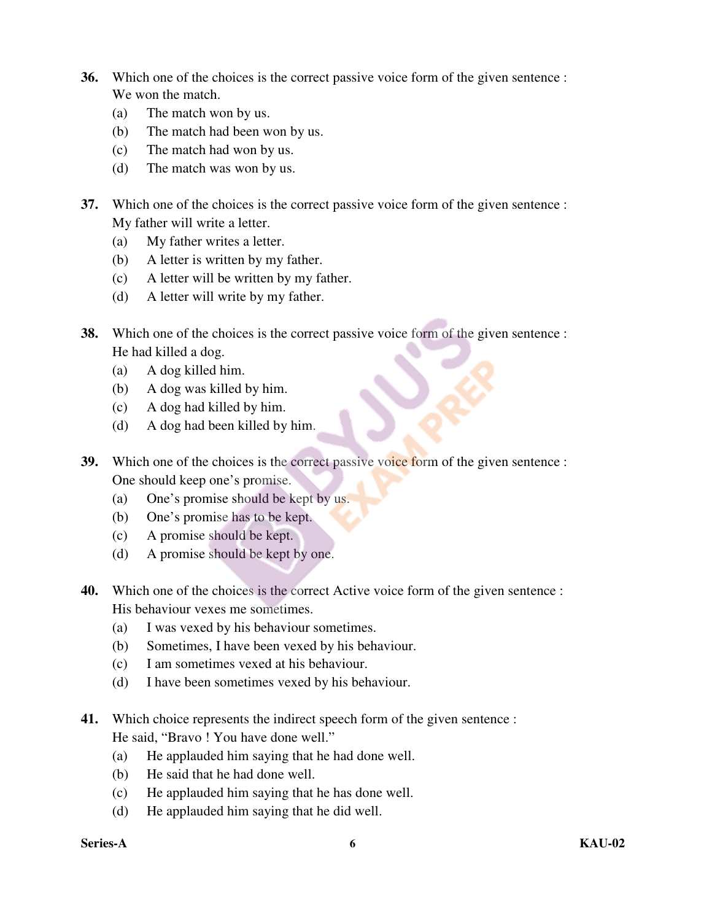- **36.** Which one of the choices is the correct passive voice form of the given sentence : We won the match.
	- (a) The match won by us.
	- (b) The match had been won by us.
	- (c) The match had won by us.
	- (d) The match was won by us.
- **37.** Which one of the choices is the correct passive voice form of the given sentence : My father will write a letter.
	- (a) My father writes a letter.
	- (b) A letter is written by my father.
	- (c) A letter will be written by my father.
	- (d) A letter will write by my father.
- **38.** Which one of the choices is the correct passive voice form of the given sentence : He had killed a dog.
	- (a) A dog killed him.
	- (b) A dog was killed by him.
	- (c) A dog had killed by him.
	- (d) A dog had been killed by him.
- **39.** Which one of the choices is the correct passive voice form of the given sentence : One should keep one's promise.
	- (a) One's promise should be kept by us.
	- (b) One's promise has to be kept.
	- (c) A promise should be kept.
	- (d) A promise should be kept by one.
- **40.** Which one of the choices is the correct Active voice form of the given sentence : His behaviour vexes me sometimes.
	- (a) I was vexed by his behaviour sometimes.
	- (b) Sometimes, I have been vexed by his behaviour.
	- (c) I am sometimes vexed at his behaviour.
	- (d) I have been sometimes vexed by his behaviour.
- **41.** Which choice represents the indirect speech form of the given sentence : He said, "Bravo ! You have done well."
	- (a) He applauded him saying that he had done well.
	- (b) He said that he had done well.
	- (c) He applauded him saying that he has done well.
	- (d) He applauded him saying that he did well.

## **Series-A 6 KAU-02**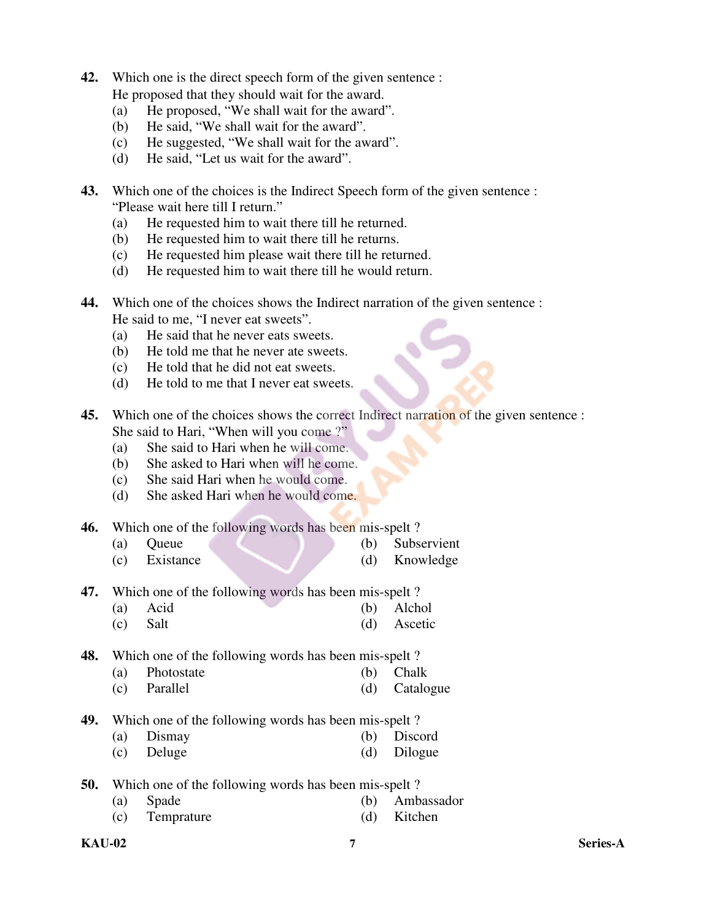**42.** Which one is the direct speech form of the given sentence :

He proposed that they should wait for the award.

- (a) He proposed, "We shall wait for the award".
- (b) He said, "We shall wait for the award".
- (c) He suggested, "We shall wait for the award".
- (d) He said, "Let us wait for the award".
- **43.** Which one of the choices is the Indirect Speech form of the given sentence : "Please wait here till I return."
	- (a) He requested him to wait there till he returned.
	- (b) He requested him to wait there till he returns.
	- (c) He requested him please wait there till he returned.
	- (d) He requested him to wait there till he would return.
- **44.** Which one of the choices shows the Indirect narration of the given sentence : He said to me, "I never eat sweets".
	- (a) He said that he never eats sweets.
	- (b) He told me that he never ate sweets.
	- (c) He told that he did not eat sweets.
	- (d) He told to me that I never eat sweets.

**45.** Which one of the choices shows the correct Indirect narration of the given sentence : She said to Hari, "When will you come ?"

- (a) She said to Hari when he will come.
- (b) She asked to Hari when will he come.
- (c) She said Hari when he would come.
- (d) She asked Hari when he would come.
- **46.** Which one of the following words has been mis-spelt ?
	- (a) Queue (b) Subservient (c) Existance (d) Knowledge
	-

**47.** Which one of the following words has been mis-spelt ?

- (a) Acid (b) Alchol
	- (c) Salt (d) Ascetic

**48.** Which one of the following words has been mis-spelt ?

- (a) Photostate (b) Chalk
- (c) Parallel (d) Catalogue
- **49.** Which one of the following words has been mis-spelt ?
	- (a) Dismay (b) Discord
	- (c) Deluge (d) Dilogue

**50.** Which one of the following words has been mis-spelt ?

- (a) Spade (b) Ambassador
- (c) Temprature (d) Kitchen
-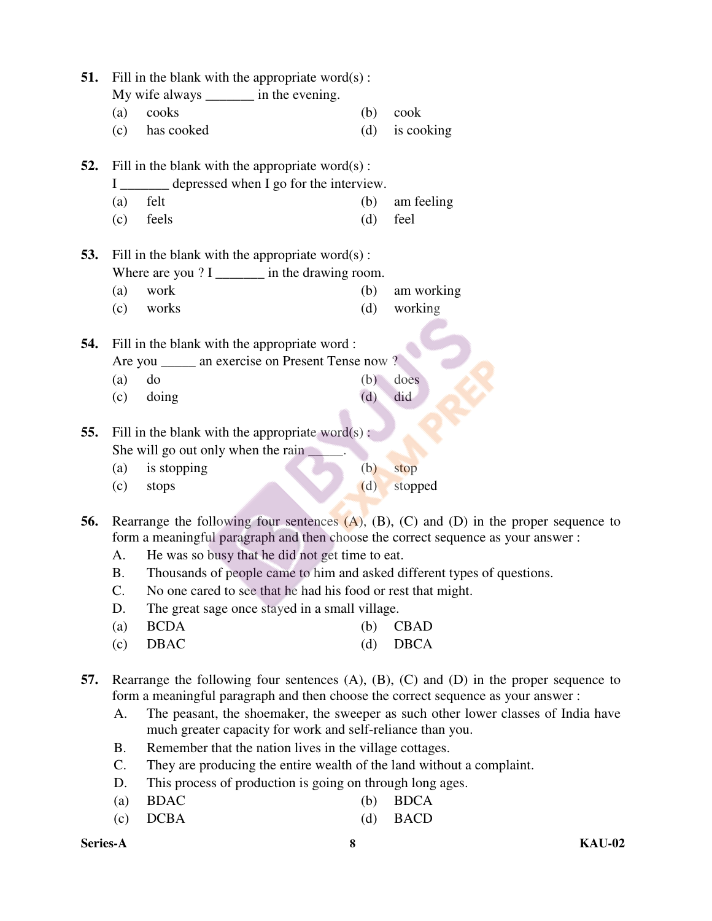| 51.<br>Fill in the blank with the appropriate word $(s)$ :                                                                                                                                  |                                                                                                  |                                                                                                                                                 |     |             |  |  |  |
|---------------------------------------------------------------------------------------------------------------------------------------------------------------------------------------------|--------------------------------------------------------------------------------------------------|-------------------------------------------------------------------------------------------------------------------------------------------------|-----|-------------|--|--|--|
|                                                                                                                                                                                             |                                                                                                  | My wife always ________ in the evening.                                                                                                         |     |             |  |  |  |
|                                                                                                                                                                                             | (a)                                                                                              | cooks                                                                                                                                           | (b) | cook        |  |  |  |
|                                                                                                                                                                                             | (c)                                                                                              | has cooked                                                                                                                                      | (d) | is cooking  |  |  |  |
| 52.                                                                                                                                                                                         |                                                                                                  | Fill in the blank with the appropriate word $(s)$ :                                                                                             |     |             |  |  |  |
|                                                                                                                                                                                             |                                                                                                  | I ________ depressed when I go for the interview.                                                                                               |     |             |  |  |  |
|                                                                                                                                                                                             | (a)                                                                                              | felt                                                                                                                                            | (b) | am feeling  |  |  |  |
|                                                                                                                                                                                             | (c)                                                                                              | feels                                                                                                                                           | (d) | feel        |  |  |  |
| 53.                                                                                                                                                                                         |                                                                                                  | Fill in the blank with the appropriate word $(s)$ :                                                                                             |     |             |  |  |  |
|                                                                                                                                                                                             |                                                                                                  | Where are you $? I$ _________ in the drawing room.                                                                                              |     |             |  |  |  |
|                                                                                                                                                                                             | (a)                                                                                              | work                                                                                                                                            | (b) | am working  |  |  |  |
|                                                                                                                                                                                             | (c)                                                                                              | works                                                                                                                                           | (d) | working     |  |  |  |
| 54.                                                                                                                                                                                         |                                                                                                  | Fill in the blank with the appropriate word:                                                                                                    |     |             |  |  |  |
|                                                                                                                                                                                             |                                                                                                  | Are you _______ an exercise on Present Tense now?                                                                                               |     |             |  |  |  |
|                                                                                                                                                                                             | (a)                                                                                              | do                                                                                                                                              | (b) | does        |  |  |  |
|                                                                                                                                                                                             | (c)                                                                                              | doing                                                                                                                                           | (d) | did         |  |  |  |
| 55.                                                                                                                                                                                         |                                                                                                  | Fill in the blank with the appropriate word $(s)$ :                                                                                             |     |             |  |  |  |
|                                                                                                                                                                                             |                                                                                                  | She will go out only when the rain                                                                                                              |     |             |  |  |  |
|                                                                                                                                                                                             | (a)                                                                                              | is stopping                                                                                                                                     | (b) | stop        |  |  |  |
|                                                                                                                                                                                             | (c)                                                                                              | stops                                                                                                                                           | (d) | stopped     |  |  |  |
|                                                                                                                                                                                             |                                                                                                  |                                                                                                                                                 |     |             |  |  |  |
| Rearrange the following four sentences $(A)$ , $(B)$ , $(C)$ and $(D)$ in the proper sequence to<br>56.<br>form a meaningful paragraph and then choose the correct sequence as your answer: |                                                                                                  |                                                                                                                                                 |     |             |  |  |  |
|                                                                                                                                                                                             | He was so busy that he did not get time to eat.<br>A.                                            |                                                                                                                                                 |     |             |  |  |  |
|                                                                                                                                                                                             | Β.                                                                                               | Thousands of people came to him and asked different types of questions.                                                                         |     |             |  |  |  |
|                                                                                                                                                                                             | C.                                                                                               | No one cared to see that he had his food or rest that might.                                                                                    |     |             |  |  |  |
|                                                                                                                                                                                             | D.                                                                                               | The great sage once stayed in a small village.                                                                                                  |     |             |  |  |  |
|                                                                                                                                                                                             | (a)                                                                                              | <b>BCDA</b>                                                                                                                                     | (b) | <b>CBAD</b> |  |  |  |
|                                                                                                                                                                                             | (c)                                                                                              | <b>DBAC</b>                                                                                                                                     | (d) | <b>DBCA</b> |  |  |  |
| 57.                                                                                                                                                                                         | Rearrange the following four sentences $(A)$ , $(B)$ , $(C)$ and $(D)$ in the proper sequence to |                                                                                                                                                 |     |             |  |  |  |
|                                                                                                                                                                                             |                                                                                                  | form a meaningful paragraph and then choose the correct sequence as your answer:                                                                |     |             |  |  |  |
|                                                                                                                                                                                             | А.                                                                                               | The peasant, the shoemaker, the sweeper as such other lower classes of India have<br>much greater capacity for work and self-reliance than you. |     |             |  |  |  |
|                                                                                                                                                                                             | <b>B.</b>                                                                                        | Remember that the nation lives in the village cottages.                                                                                         |     |             |  |  |  |
|                                                                                                                                                                                             | $C$ .                                                                                            | They are producing the entire wealth of the land without a complaint.                                                                           |     |             |  |  |  |
|                                                                                                                                                                                             | D.                                                                                               | This process of production is going on through long ages.                                                                                       |     |             |  |  |  |
|                                                                                                                                                                                             | (a)                                                                                              | <b>BDAC</b>                                                                                                                                     | (b) | <b>BDCA</b> |  |  |  |
|                                                                                                                                                                                             | (c)                                                                                              | <b>DCBA</b>                                                                                                                                     | (d) | <b>BACD</b> |  |  |  |

**Series-A 8 KAU-02**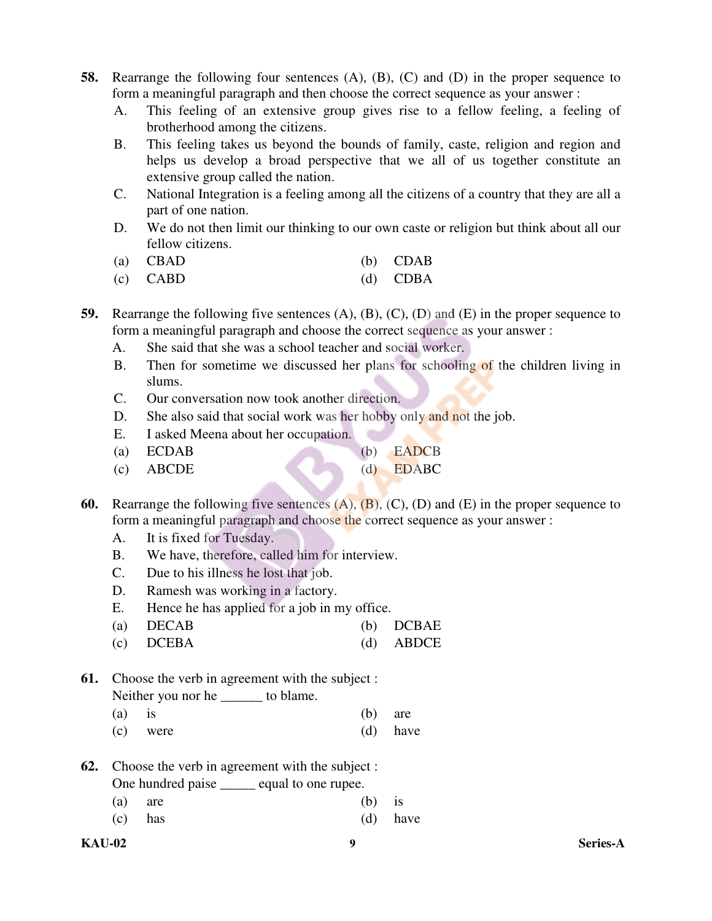- **58.** Rearrange the following four sentences (A), (B), (C) and (D) in the proper sequence to form a meaningful paragraph and then choose the correct sequence as your answer :
	- A. This feeling of an extensive group gives rise to a fellow feeling, a feeling of brotherhood among the citizens.
	- B. This feeling takes us beyond the bounds of family, caste, religion and region and helps us develop a broad perspective that we all of us together constitute an extensive group called the nation.
	- C. National Integration is a feeling among all the citizens of a country that they are all a part of one nation.
	- D. We do not then limit our thinking to our own caste or religion but think about all our fellow citizens.

| (a) CBAD   | $(b)$ CDAB |
|------------|------------|
| $(c)$ CABD | $(d)$ CDBA |

- **59.** Rearrange the following five sentences (A), (B), (C), (D) and (E) in the proper sequence to form a meaningful paragraph and choose the correct sequence as your answer :
	- A. She said that she was a school teacher and social worker.
	- B. Then for sometime we discussed her plans for schooling of the children living in slums.
	- C. Our conversation now took another direction.
	- D. She also said that social work was her hobby only and not the job.
	- E. I asked Meena about her occupation.
	- (a) ECDAB (b) EADCB
	- (c) ABCDE (d) EDABC

**60.** Rearrange the following five sentences (A), (B), (C), (D) and (E) in the proper sequence to form a meaningful paragraph and choose the correct sequence as your answer :

- A. It is fixed for Tuesday.
- B. We have, therefore, called him for interview.
- C. Due to his illness he lost that job.
- D. Ramesh was working in a factory.
- E. Hence he has applied for a job in my office.
- (a) DECAB (b) DCBAE
- (c) DCEBA (d) ABDCE

**61.** Choose the verb in agreement with the subject : Neither you nor he \_\_\_\_\_\_ to blame.

- (a) is  $(b)$  are
- (c) were (d) have

**62.** Choose the verb in agreement with the subject :

One hundred paise \_\_\_\_\_ equal to one rupee.

- (a) are (b) is
- (c) has (d) have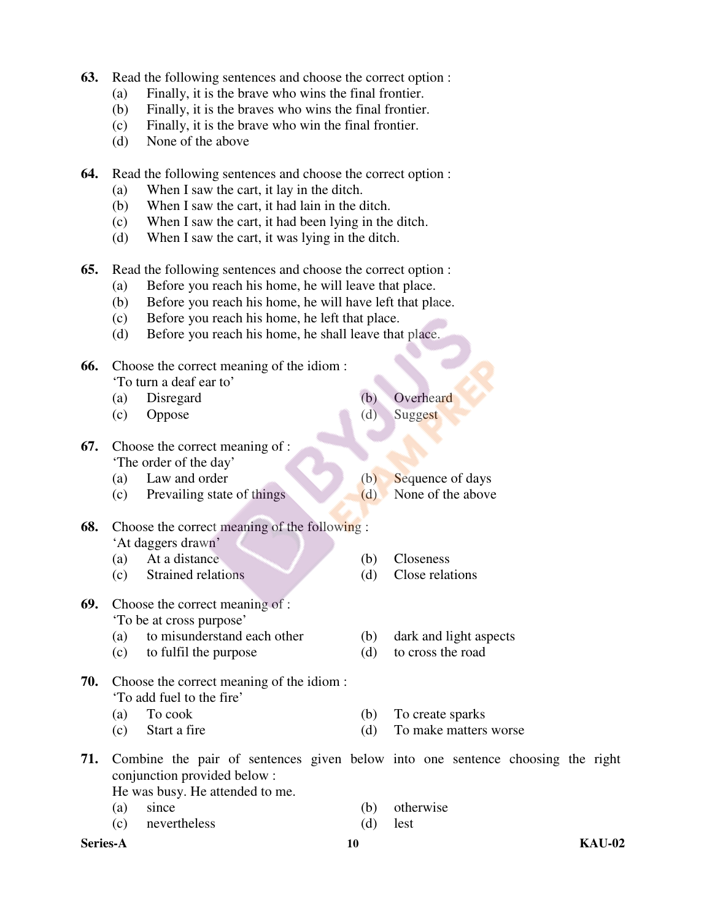- **63.** Read the following sentences and choose the correct option :
	- (a) Finally, it is the brave who wins the final frontier.
	- (b) Finally, it is the braves who wins the final frontier.
	- (c) Finally, it is the brave who win the final frontier.
	- (d) None of the above
- **64.** Read the following sentences and choose the correct option :
	- (a) When I saw the cart, it lay in the ditch.
	- (b) When I saw the cart, it had lain in the ditch.
	- (c) When I saw the cart, it had been lying in the ditch.
	- (d) When I saw the cart, it was lying in the ditch.
- **65.** Read the following sentences and choose the correct option :
	- (a) Before you reach his home, he will leave that place.
	- (b) Before you reach his home, he will have left that place.
	- (c) Before you reach his home, he left that place.
	- (d) Before you reach his home, he shall leave that place.
- **66.** Choose the correct meaning of the idiom :
	- 'To turn a deaf ear to'
	- (a) Disregard (b) Overheard
	- (c) Oppose (d) Suggest
- **67.** Choose the correct meaning of :
	- 'The order of the day'
	- (a) Law and order (b) Sequence of days
	- (c) Prevailing state of things (d) None of the above
- **68.** Choose the correct meaning of the following : 'At daggers drawn'
	- (a) At a distance (b) Closeness
	- (c) Strained relations (d) Close relations
- **69.** Choose the correct meaning of : 'To be at cross purpose'
	- (a) to misunderstand each other (b) dark and light aspects
	- (c) to fulfil the purpose (d) to cross the road
- **70.** Choose the correct meaning of the idiom : 'To add fuel to the fire'
	- (a) To cook (b) To create sparks
	- (c) Start a fire (d) To make matters worse
- **71.** Combine the pair of sentences given below into one sentence choosing the right conjunction provided below :
	- He was busy. He attended to me.
	- (a) since (b) otherwise
	- (c) nevertheless (d) lest
- **Series-A 10 KAU-02**
- 
- 
- 
- 
- 
- 
- 
- 
-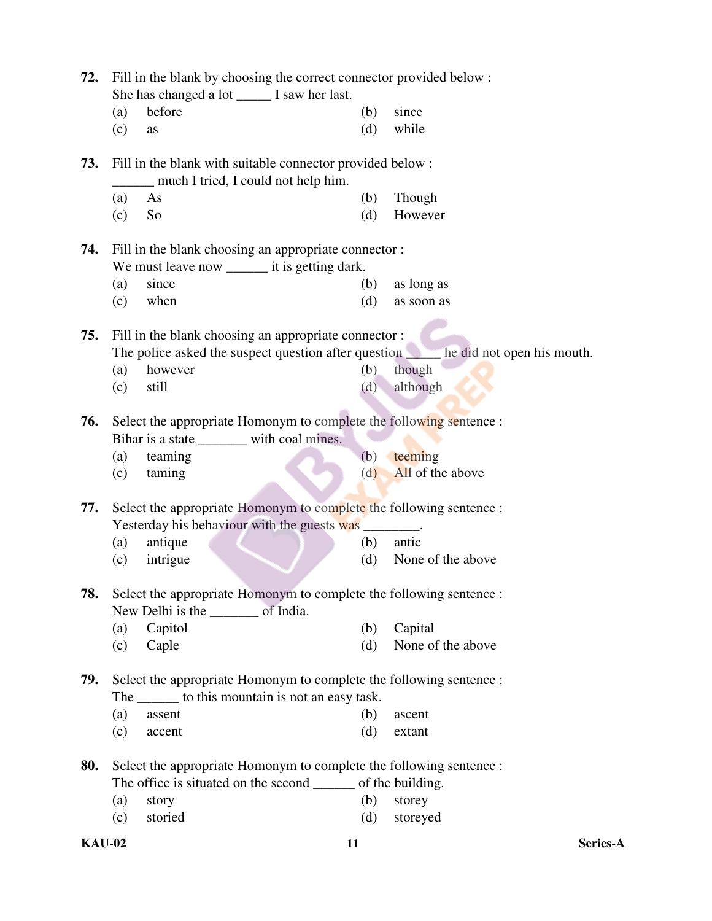| 72. | Fill in the blank by choosing the correct connector provided below: |                                                                                         |     |                   |  |  |
|-----|---------------------------------------------------------------------|-----------------------------------------------------------------------------------------|-----|-------------------|--|--|
|     |                                                                     | She has changed a lot ______ I saw her last.                                            |     |                   |  |  |
|     | (a)                                                                 | before                                                                                  | (b) | since             |  |  |
|     | (c)                                                                 | as                                                                                      | (d) | while             |  |  |
|     |                                                                     |                                                                                         |     |                   |  |  |
| 73. |                                                                     | Fill in the blank with suitable connector provided below :                              |     |                   |  |  |
|     |                                                                     | _ much I tried, I could not help him.                                                   |     |                   |  |  |
|     | (a)                                                                 | As                                                                                      | (b) | Though            |  |  |
|     | (c)                                                                 | So                                                                                      | (d) | However           |  |  |
| 74. |                                                                     | Fill in the blank choosing an appropriate connector :                                   |     |                   |  |  |
|     |                                                                     | We must leave now _________ it is getting dark.                                         |     |                   |  |  |
|     | (a)                                                                 | since                                                                                   | (b) | as long as        |  |  |
|     | (c)                                                                 | when                                                                                    | (d) | as soon as        |  |  |
|     |                                                                     |                                                                                         |     |                   |  |  |
| 75. |                                                                     | Fill in the blank choosing an appropriate connector:                                    |     |                   |  |  |
|     |                                                                     | The police asked the suspect question after question _______ he did not open his mouth. |     |                   |  |  |
|     | (a)                                                                 | however                                                                                 | (b) | though            |  |  |
|     | (c)                                                                 | still                                                                                   | (d) | although          |  |  |
|     |                                                                     |                                                                                         |     |                   |  |  |
| 76. |                                                                     | Select the appropriate Homonym to complete the following sentence :                     |     |                   |  |  |
|     | Bihar is a state ________ with coal mines.                          |                                                                                         |     |                   |  |  |
|     | (a)                                                                 | teaming                                                                                 | (b) | teeming           |  |  |
|     | (c)                                                                 | taming                                                                                  | (d) | All of the above  |  |  |
|     |                                                                     |                                                                                         |     |                   |  |  |
| 77. |                                                                     | Select the appropriate Homonym to complete the following sentence :                     |     |                   |  |  |
|     | Yesterday his behaviour with the guests was                         |                                                                                         |     |                   |  |  |
|     | (a)                                                                 | antique                                                                                 | (b) | antic             |  |  |
|     | (c)                                                                 | intrigue                                                                                | (d) | None of the above |  |  |
|     |                                                                     |                                                                                         |     |                   |  |  |
| 78. |                                                                     | Select the appropriate Homonym to complete the following sentence :                     |     |                   |  |  |
|     |                                                                     | New Delhi is the <u>_____</u> of India.                                                 |     |                   |  |  |
|     | (a)                                                                 | Capitol                                                                                 | (b) | Capital           |  |  |
|     | (c)                                                                 | Caple                                                                                   | (d) | None of the above |  |  |
| 79. |                                                                     | Select the appropriate Homonym to complete the following sentence :                     |     |                   |  |  |
|     |                                                                     | The ________ to this mountain is not an easy task.                                      |     |                   |  |  |
|     | (a)                                                                 | assent                                                                                  | (b) | ascent            |  |  |
|     | (c)                                                                 | accent                                                                                  | (d) | extant            |  |  |
|     |                                                                     |                                                                                         |     |                   |  |  |
| 80. |                                                                     | Select the appropriate Homonym to complete the following sentence :                     |     |                   |  |  |
|     |                                                                     | The office is situated on the second _______ of the building.                           |     |                   |  |  |
|     | (a)                                                                 | story                                                                                   | (b) | storey            |  |  |
|     | (c)                                                                 | storied                                                                                 | (d) | storeyed          |  |  |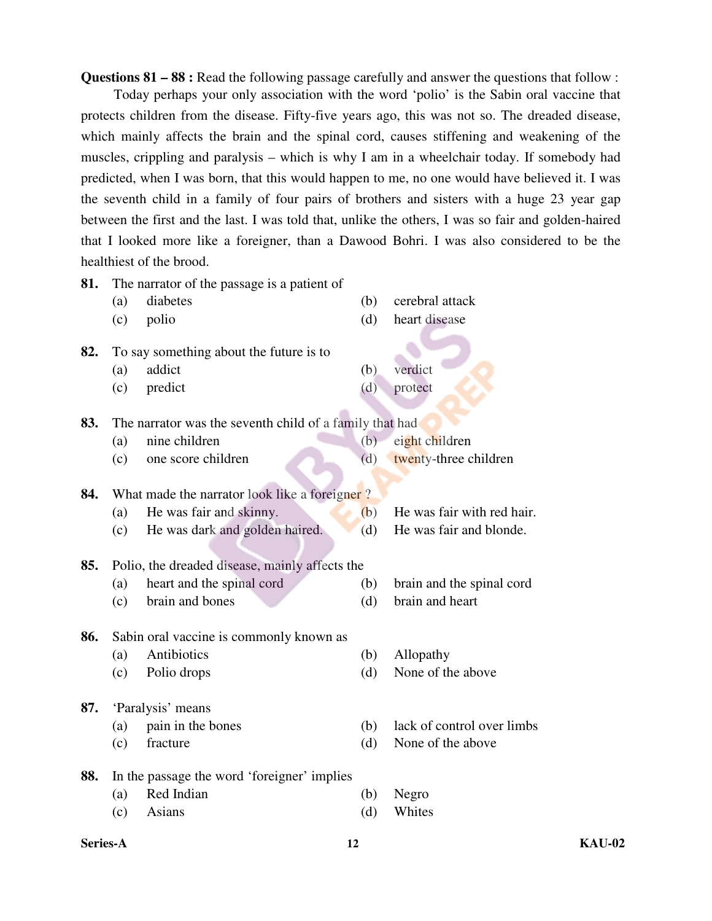**Questions 81 – 88 :** Read the following passage carefully and answer the questions that follow :

Today perhaps your only association with the word 'polio' is the Sabin oral vaccine that protects children from the disease. Fifty-five years ago, this was not so. The dreaded disease, which mainly affects the brain and the spinal cord, causes stiffening and weakening of the muscles, crippling and paralysis – which is why I am in a wheelchair today. If somebody had predicted, when I was born, that this would happen to me, no one would have believed it. I was the seventh child in a family of four pairs of brothers and sisters with a huge 23 year gap between the first and the last. I was told that, unlike the others, I was so fair and golden-haired that I looked more like a foreigner, than a Dawood Bohri. I was also considered to be the healthiest of the brood.

**81.** The narrator of the passage is a patient of

(a) diabetes (b) cerebral attack

- (c) polio (d) heart disease
- -
- **82.** To say something about the future is to
- (a) addict (b) verdict
- (c) predict (d) protect
- **83.** The narrator was the seventh child of a family that had
	- (a) nine children (b) eight children
	- (c) one score children (d) twenty-three children

## **84.** What made the narrator look like a foreigner?

- (a) He was fair and skinny. (b) He was fair with red hair.
- (c) He was dark and golden haired. (d) He was fair and blonde.
- **85.** Polio, the dreaded disease, mainly affects the
	- (a) heart and the spinal cord (b) brain and the spinal cord
	- (c) brain and bones (d) brain and heart

## **86.** Sabin oral vaccine is commonly known as

- (a) Antibiotics (b) Allopathy
- (c) Polio drops (d) None of the above
- **87.** 'Paralysis' means
	- (a) pain in the bones (b) lack of control over limbs
		- (c) fracture (d) None of the above
- **88.** In the passage the word 'foreigner' implies
	- (a) Red Indian (b) Negro
- (c) Asians (d) Whites
- 

**Series-A 12 KAU-02**

- 
- 
- 
- 
- 
- -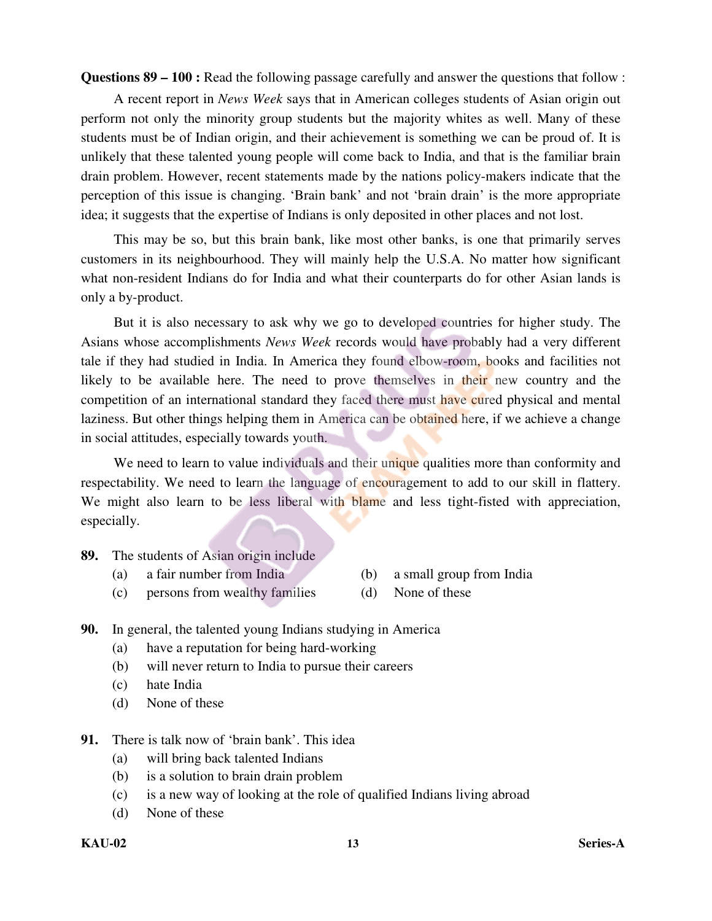**Questions 89 – 100 :** Read the following passage carefully and answer the questions that follow :

A recent report in *News Week* says that in American colleges students of Asian origin out perform not only the minority group students but the majority whites as well. Many of these students must be of Indian origin, and their achievement is something we can be proud of. It is unlikely that these talented young people will come back to India, and that is the familiar brain drain problem. However, recent statements made by the nations policy-makers indicate that the perception of this issue is changing. 'Brain bank' and not 'brain drain' is the more appropriate idea; it suggests that the expertise of Indians is only deposited in other places and not lost.

 This may be so, but this brain bank, like most other banks, is one that primarily serves customers in its neighbourhood. They will mainly help the U.S.A. No matter how significant what non-resident Indians do for India and what their counterparts do for other Asian lands is only a by-product.

 But it is also necessary to ask why we go to developed countries for higher study. The Asians whose accomplishments *News Week* records would have probably had a very different tale if they had studied in India. In America they found elbow-room, books and facilities not likely to be available here. The need to prove themselves in their new country and the competition of an international standard they faced there must have cured physical and mental laziness. But other things helping them in America can be obtained here, if we achieve a change in social attitudes, especially towards youth.

We need to learn to value individuals and their unique qualities more than conformity and respectability. We need to learn the language of encouragement to add to our skill in flattery. We might also learn to be less liberal with blame and less tight-fisted with appreciation, especially.

- **89.** The students of Asian origin include
	- (a) a fair number from India (b) a small group from India
		-
	- (c) persons from wealthy families (d) None of these
		-
- **90.** In general, the talented young Indians studying in America
	- (a) have a reputation for being hard-working
	- (b) will never return to India to pursue their careers
	- (c) hate India
	- (d) None of these
- **91.** There is talk now of 'brain bank'. This idea
	- (a) will bring back talented Indians
	- (b) is a solution to brain drain problem
	- (c) is a new way of looking at the role of qualified Indians living abroad
	- (d) None of these

**KAU-02 13 Series-A**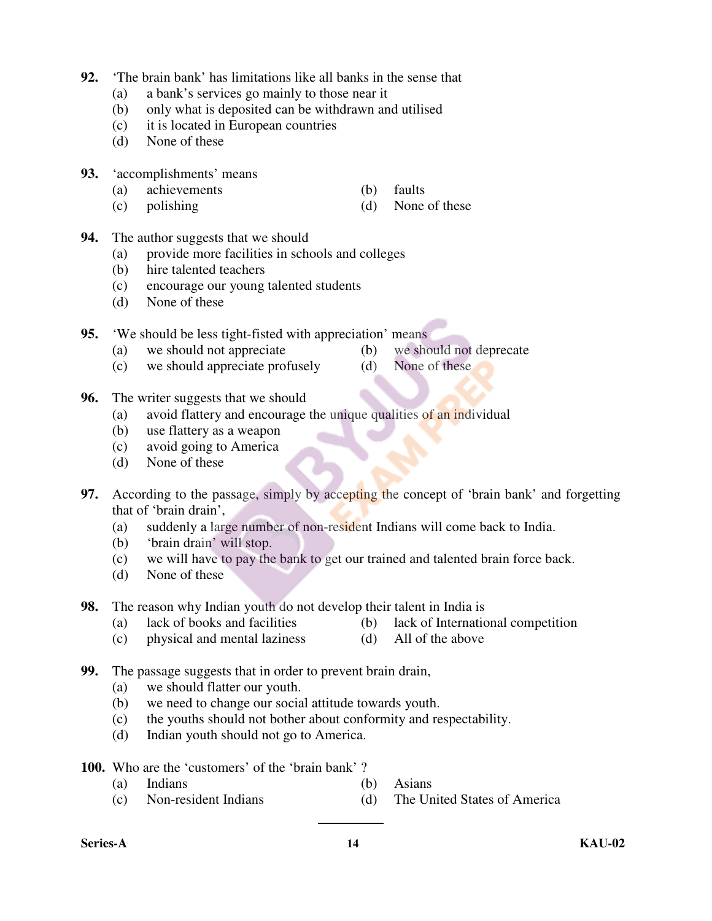- **92.** 'The brain bank' has limitations like all banks in the sense that
	- (a) a bank's services go mainly to those near it
	- (b) only what is deposited can be withdrawn and utilised
	- (c) it is located in European countries
	- (d) None of these
- **93.** 'accomplishments' means
	- (a) achievements (b) faults
	- (c) polishing (d) None of these
- **94.** The author suggests that we should
	- (a) provide more facilities in schools and colleges
	- (b) hire talented teachers
	- (c) encourage our young talented students
	- (d) None of these
- **95.** 'We should be less tight-fisted with appreciation' means
	-
	- (a) we should not appreciate (b) we should not deprecate<br>
	(c) we should appreciate profusely (d) None of these  $(c)$  we should appreciate profusely
- -
- **96.** The writer suggests that we should
	- (a) avoid flattery and encourage the unique qualities of an individual
	- (b) use flattery as a weapon
	- (c) avoid going to America
	- (d) None of these
- **97.** According to the passage, simply by accepting the concept of 'brain bank' and forgetting that of 'brain drain',
	- (a) suddenly a large number of non-resident Indians will come back to India.
	- (b) 'brain drain' will stop.
	- (c) we will have to pay the bank to get our trained and talented brain force back.
	- (d) None of these
- **98.** The reason why Indian youth do not develop their talent in India is
	- (a) lack of books and facilities (b) lack of International competition
	- (c) physical and mental laziness (d) All of the above
- **99.** The passage suggests that in order to prevent brain drain,
	- (a) we should flatter our youth.
	- (b) we need to change our social attitude towards youth.
	- (c) the youths should not bother about conformity and respectability.
	- (d) Indian youth should not go to America.
- **100.** Who are the 'customers' of the 'brain bank' ?
	- (a) Indians (b) Asians
		-
	- (c) Non-resident Indians (d) The United States of America

 $\overline{a}$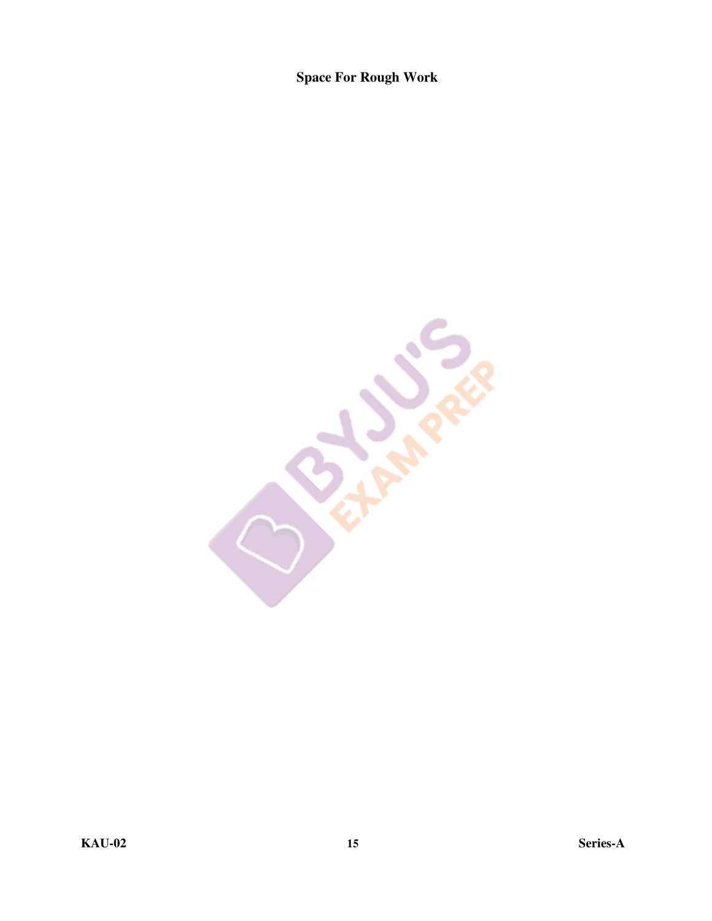**Space For Rough Work**